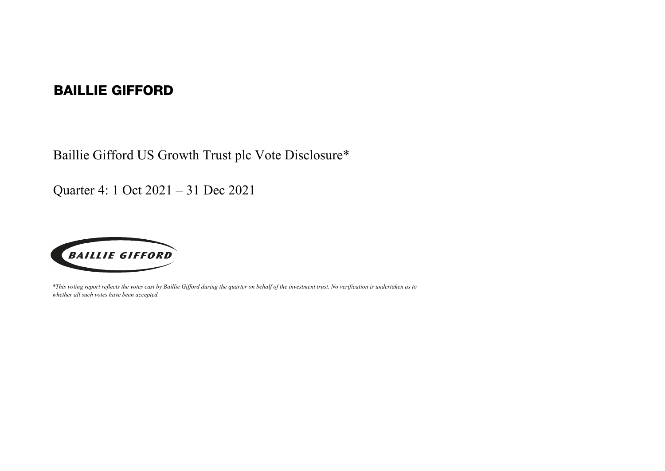## BAILLIE GIFFORD

Baillie Gifford US Growth Trust plc Vote Disclosure\*

Quarter 4: 1 Oct 2021 – 31 Dec 2021



*\*This voting report reflects the votes cast by Baillie Gifford during the quarter on behalf of the investment trust. No verification is undertaken as to whether all such votes have been accepted.*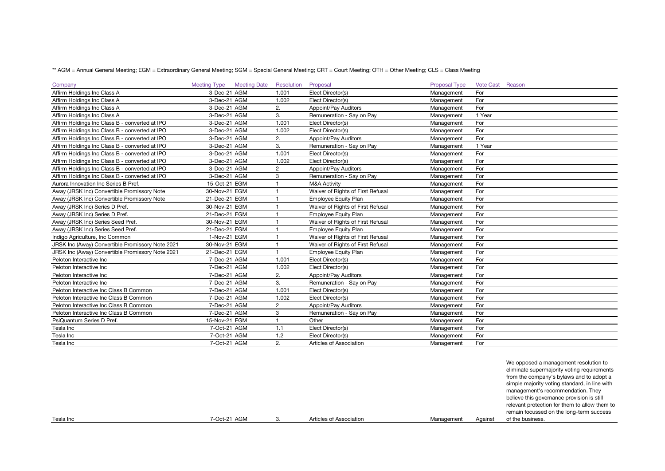\*\* AGM = Annual General Meeting; EGM = Extraordinary General Meeting; SGM = Special General Meeting; CRT = Court Meeting; OTH = Other Meeting; CLS = Class Meeting

| Company                                          | <b>Meeting Type</b> | <b>Meeting Date</b> | Resolution     | Proposal                          | Proposal Type | Vote Cast Reason |
|--------------------------------------------------|---------------------|---------------------|----------------|-----------------------------------|---------------|------------------|
| Affirm Holdings Inc Class A                      | 3-Dec-21 AGM        |                     | 1.001          | Elect Director(s)                 | Management    | For              |
| Affirm Holdings Inc Class A                      | 3-Dec-21 AGM        |                     | 1.002          | Elect Director(s)                 | Management    | For              |
| Affirm Holdings Inc Class A                      | 3-Dec-21 AGM        |                     | 2.             | Appoint/Pay Auditors              | Management    | For              |
| Affirm Holdings Inc Class A                      | 3-Dec-21 AGM        |                     | 3.             | Remuneration - Say on Pay         | Management    | 1 Year           |
| Affirm Holdings Inc Class B - converted at IPO   | 3-Dec-21 AGM        |                     | 1.001          | Elect Director(s)                 | Management    | For              |
| Affirm Holdings Inc Class B - converted at IPO   | 3-Dec-21 AGM        |                     | 1.002          | Elect Director(s)                 | Management    | For              |
| Affirm Holdings Inc Class B - converted at IPO   | 3-Dec-21 AGM        |                     | 2.             | Appoint/Pay Auditors              | Management    | For              |
| Affirm Holdings Inc Class B - converted at IPO   | 3-Dec-21 AGM        |                     | 3.             | Remuneration - Say on Pay         | Management    | 1 Year           |
| Affirm Holdings Inc Class B - converted at IPO   | 3-Dec-21 AGM        |                     | 1.001          | Elect Director(s)                 | Management    | For              |
| Affirm Holdings Inc Class B - converted at IPO   | 3-Dec-21 AGM        |                     | 1.002          | Elect Director(s)                 | Management    | For              |
| Affirm Holdings Inc Class B - converted at IPO   | 3-Dec-21 AGM        |                     | $\overline{2}$ | Appoint/Pay Auditors              | Management    | For              |
| Affirm Holdings Inc Class B - converted at IPO   | 3-Dec-21 AGM        |                     | 3              | Remuneration - Say on Pay         | Management    | For              |
| Aurora Innovation Inc Series B Pref.             | 15-Oct-21 EGM       |                     |                | <b>M&amp;A Activity</b>           | Management    | For              |
| Away (JRSK Inc) Convertible Promissory Note      | 30-Nov-21 EGM       |                     |                | Waiver of Rights of First Refusal | Management    | For              |
| Away (JRSK Inc) Convertible Promissory Note      | 21-Dec-21 EGM       |                     |                | <b>Employee Equity Plan</b>       | Management    | For              |
| Away (JRSK Inc) Series D Pref.                   | 30-Nov-21 EGM       |                     |                | Waiver of Rights of First Refusal | Management    | For              |
| Away (JRSK Inc) Series D Pref.                   | 21-Dec-21 EGM       |                     |                | <b>Employee Equity Plan</b>       | Management    | For              |
| Away (JRSK Inc) Series Seed Pref.                | 30-Nov-21 EGM       |                     |                | Waiver of Rights of First Refusal | Management    | For              |
| Away (JRSK Inc) Series Seed Pref.                | 21-Dec-21 EGM       |                     |                | <b>Employee Equity Plan</b>       | Management    | For              |
| Indigo Agriculture, Inc Common                   | 1-Nov-21 EGM        |                     |                | Waiver of Rights of First Refusal | Management    | For              |
| JRSK Inc (Away) Convertible Promissory Note 2021 | 30-Nov-21 EGM       |                     |                | Waiver of Rights of First Refusal | Management    | For              |
| JRSK Inc (Away) Convertible Promissory Note 2021 | 21-Dec-21 EGM       |                     |                | <b>Employee Equity Plan</b>       | Management    | For              |
| Peloton Interactive Inc                          | 7-Dec-21 AGM        |                     | 1.001          | Elect Director(s)                 | Management    | For              |
| Peloton Interactive Inc                          | 7-Dec-21 AGM        |                     | 1.002          | Elect Director(s)                 | Management    | For              |
| Peloton Interactive Inc                          | 7-Dec-21 AGM        |                     | 2.             | Appoint/Pay Auditors              | Management    | For              |
| Peloton Interactive Inc                          | 7-Dec-21 AGM        |                     | 3.             | Remuneration - Say on Pay         | Management    | For              |
| Peloton Interactive Inc Class B Common           | 7-Dec-21 AGM        |                     | 1.001          | Elect Director(s)                 | Management    | For              |
| Peloton Interactive Inc Class B Common           | 7-Dec-21 AGM        |                     | 1.002          | Elect Director(s)                 | Management    | For              |
| Peloton Interactive Inc Class B Common           | 7-Dec-21 AGM        |                     | $\overline{2}$ | Appoint/Pay Auditors              | Management    | For              |
| Peloton Interactive Inc Class B Common           | 7-Dec-21 AGM        |                     | 3              | Remuneration - Say on Pay         | Management    | For              |
| PsiQuantum Series D Pref.                        | 15-Nov-21 EGM       |                     |                | Other                             | Management    | For              |
| Tesla Inc                                        | 7-Oct-21 AGM        |                     | 1.1            | Elect Director(s)                 | Management    | For              |
| Tesla Inc                                        | 7-Oct-21 AGM        |                     | 1.2            | Elect Director(s)                 | Management    | For              |
| Tesla Inc                                        | 7-Oct-21 AGM        |                     | 2.             | Articles of Association           | Management    | For              |

|           |              |                         |            |         | We opposed a management resolution to<br>eliminate supermajority voting requirements<br>from the company's bylaws and to adopt a<br>simple majority voting standard, in line with<br>management's recommendation. They<br>believe this governance provision is still<br>relevant protection for them to allow them to<br>remain focussed on the long-term success |
|-----------|--------------|-------------------------|------------|---------|-------------------------------------------------------------------------------------------------------------------------------------------------------------------------------------------------------------------------------------------------------------------------------------------------------------------------------------------------------------------|
| Tesla Inc | 7-Oct-21 AGM | Articles of Association | Management | Against | of the business.                                                                                                                                                                                                                                                                                                                                                  |